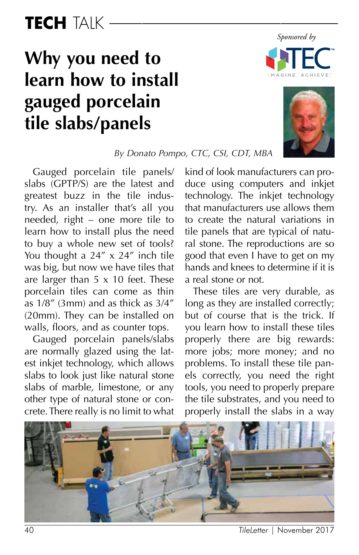# TECH TAIK

# **Why you need to learn how to install gauged porcelain tile slabs/panels**





*By Donato Pompo, CTC, CSI, CDT, MBA*

Gauged porcelain tile panels/ slabs (GPTP/S) are the latest and greatest buzz in the tile industry. As an installer that's all you needed, right – one more tile to learn how to install plus the need to buy a whole new set of tools? You thought a  $24'' \times 24''$  inch tile was big, but now we have tiles that are larger than  $5 \times 10$  feet. These porcelain tiles can come as thin as 1/8" (3mm) and as thick as 3/4" (20mm). They can be installed on walls, floors, and as counter tops.

Gauged porcelain panels/slabs are normally glazed using the latest inkjet technology, which allows slabs to look just like natural stone slabs of marble, limestone, or any other type of natural stone or concrete. There really is no limit to what kind of look manufacturers can produce using computers and inkjet technology. The inkjet technology that manufacturers use allows them to create the natural variations in tile panels that are typical of natural stone. The reproductions are so good that even I have to get on my hands and knees to determine if it is a real stone or not.

These tiles are very durable, as long as they are installed correctly; but of course that is the trick. If you learn how to install these tiles properly there are big rewards: more jobs; more money; and no problems. To install these tile panels correctly, you need the right tools, you need to properly prepare the tile substrates, and you need to properly install the slabs in a way



<sup>40</sup> *TileLetter* | November 2017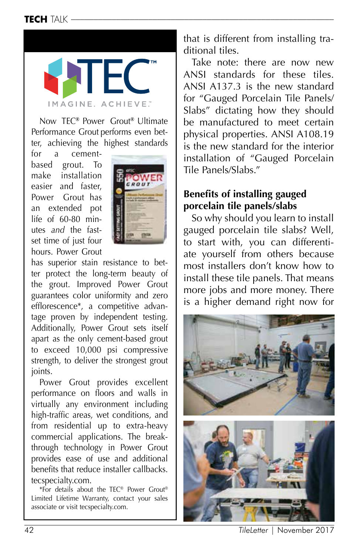## TECH TALK –



Now TEC**®** Power Grout**®** Ultimate Performance Grout performs even better, achieving the highest standards

for a cementbased grout. To make installation easier and faster, Power Grout has an extended pot life of 60-80 minutes *and* the fastset time of just four hours. Power Grout



has superior stain resistance to better protect the long-term beauty of the grout. Improved Power Grout guarantees color uniformity and zero efflorescence\*, a competitive advantage proven by independent testing. Additionally, Power Grout sets itself apart as the only cement-based grout to exceed 10,000 psi compressive strength, to deliver the strongest grout joints.

Power Grout provides excellent performance on floors and walls in virtually any environment including high-traffic areas, wet conditions, and from residential up to extra-heavy commercial applications. The breakthrough technology in Power Grout provides ease of use and additional benefits that reduce installer callbacks. tecspecialty.com.

\*For details about the TEC® Power Grout® Limited Lifetime Warranty, contact your sales associate or visit tecspecialty.com.

that is different from installing traditional tiles.

Take note: there are now new ANSI standards for these tiles. ANSI A137.3 is the new standard for "Gauged Porcelain Tile Panels/ Slabs" dictating how they should be manufactured to meet certain physical properties. ANSI A108.19 is the new standard for the interior installation of "Gauged Porcelain Tile Panels/Slabs."

### **Benefits of installing gauged porcelain tile panels/slabs**

So why should you learn to install gauged porcelain tile slabs? Well, to start with, you can differentiate yourself from others because most installers don't know how to install these tile panels. That means more jobs and more money. There is a higher demand right now for



42 *TileLetter* | November 2017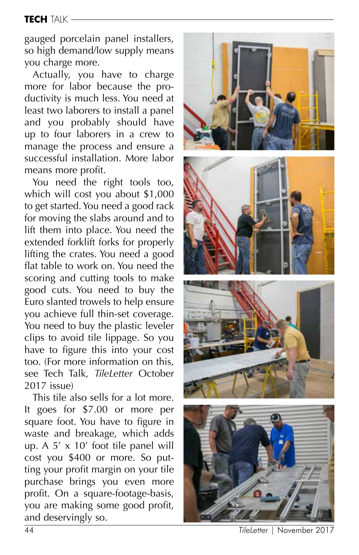#### TECH TALK –

gauged porcelain panel installers, so high demand/low supply means you charge more.

Actually, you have to charge more for labor because the pro ductivity is much less. You need at least two laborers to install a panel and you probably should have up to four laborers in a crew to manage the process and ensure a successful installation. More labor means more profit.

You need the right tools too, which will cost you about \$1,000 to get started. You need a good rack for moving the slabs around and to lift them into place. You need the extended forklift forks for properly lifting the crates. You need a good flat table to work on. You need the scoring and cutting tools to make good cuts. You need to buy the Euro slanted trowels to help ensure you achieve full thin-set coverage. You need to buy the plastic leveler clips to avoid tile lippage. So you have to figure this into your cost too. (For more information on this, see Tech Talk, *TileLetter* October 2017 issue)

This tile also sells for a lot more. It goes for \$7.00 or more per square foot. You have to figure in waste and breakage, which adds up. A 5' x 10' foot tile panel will cost you \$400 or more. So put ting your profit margin on your tile purchase brings you even more profit. On a square-footage-basis, you are making some good profit, and deservingly so.



44 *TileLetter* | November 2017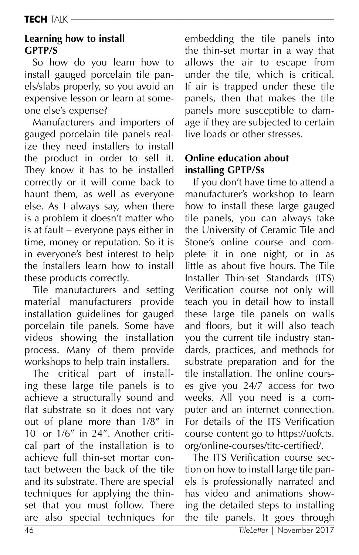## **Learning how to install GPTP/S**

So how do you learn how to install gauged porcelain tile panels/slabs properly, so you avoid an expensive lesson or learn at someone else's expense?

Manufacturers and importers of gauged porcelain tile panels realize they need installers to install the product in order to sell it. They know it has to be installed correctly or it will come back to haunt them, as well as everyone else. As I always say, when there is a problem it doesn't matter who is at fault – everyone pays either in time, money or reputation. So it is in everyone's best interest to help the installers learn how to install these products correctly.

Tile manufacturers and setting material manufacturers provide installation guidelines for gauged porcelain tile panels. Some have videos showing the installation process. Many of them provide workshops to help train installers.

The critical part of installing these large tile panels is to achieve a structurally sound and flat substrate so it does not vary out of plane more than 1/8" in 10' or 1/6" in 24". Another critical part of the installation is to achieve full thin-set mortar contact between the back of the tile and its substrate. There are special techniques for applying the thinset that you must follow. There are also special techniques for embedding the tile panels into the thin-set mortar in a way that allows the air to escape from under the tile, which is critical. If air is trapped under these tile panels, then that makes the tile panels more susceptible to damage if they are subjected to certain live loads or other stresses.

## **Online education about installing GPTP/Ss**

If you don't have time to attend a manufacturer's workshop to learn how to install these large gauged tile panels, you can always take the University of Ceramic Tile and Stone's online course and complete it in one night, or in as little as about five hours. The Tile Installer Thin-set Standards (ITS) Verification course not only will teach you in detail how to install these large tile panels on walls and floors, but it will also teach you the current tile industry standards, practices, and methods for substrate preparation and for the tile installation. The online courses give you 24/7 access for two weeks. All you need is a computer and an internet connection. For details of the ITS Verification course content go to https://uofcts. org/online-courses/titc-certified/.

The ITS Verification course section on how to install large tile panels is professionally narrated and has video and animations showing the detailed steps to installing the tile panels. It goes through